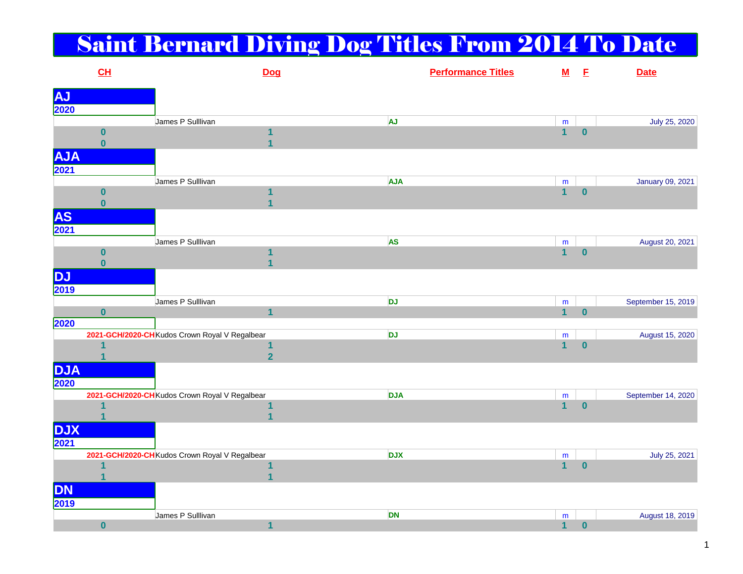## Saint Bernard Diving Dog Titles From 2014 To Date

|                            | CL                      |                                                | Dog                     | <b>Performance Titles</b> | ${\bf M}$                   | E        | <b>Date</b>        |
|----------------------------|-------------------------|------------------------------------------------|-------------------------|---------------------------|-----------------------------|----------|--------------------|
|                            |                         |                                                |                         |                           |                             |          |                    |
| <b>AJ</b><br>2020          |                         |                                                |                         |                           |                             |          |                    |
|                            |                         | James P Sulllivan                              |                         | AJ                        | ${\sf m}$                   |          | July 25, 2020      |
|                            | $\bf{0}$                |                                                | 1                       |                           | $\overline{1}$              | $\bf{0}$ |                    |
|                            | $\mathbf{0}$            |                                                | $\overline{1}$          |                           |                             |          |                    |
| <b>AJA</b>                 |                         |                                                |                         |                           |                             |          |                    |
| 2021                       |                         |                                                |                         |                           |                             |          |                    |
|                            |                         | James P Sulllivan                              |                         | <b>AJA</b>                | m                           |          | January 09, 2021   |
|                            | $\bf{0}$                |                                                |                         |                           | $\overline{1}$              | $\bf{0}$ |                    |
|                            | $\bf{0}$                |                                                | $\overline{\mathbf{1}}$ |                           |                             |          |                    |
| <b>AS</b>                  |                         |                                                |                         |                           |                             |          |                    |
| 2021                       |                         |                                                |                         |                           |                             |          |                    |
|                            |                         | James P Sulllivan                              |                         | <b>AS</b>                 | ${\sf m}$                   |          | August 20, 2021    |
|                            | $\bf{0}$                |                                                | 1                       |                           | $\overline{1}$              | $\bf{0}$ |                    |
|                            | $\mathbf{0}$            |                                                |                         |                           |                             |          |                    |
| <b>DJ</b>                  |                         |                                                |                         |                           |                             |          |                    |
| 2019                       |                         |                                                |                         |                           |                             |          |                    |
|                            |                         | James P Sulllivan                              |                         | <b>DJ</b>                 | m                           |          | September 15, 2019 |
|                            | $\bf{0}$                |                                                | $\overline{1}$          |                           | $\overline{1}$              | $\bf{0}$ |                    |
| 2020                       |                         |                                                |                         |                           |                             |          |                    |
|                            |                         | 2021-GCH/2020-CH Kudos Crown Royal V Regalbear |                         | <b>DJ</b>                 | ${\sf m}$                   |          | August 15, 2020    |
|                            |                         |                                                | 1                       |                           | $\overline{1}$              | $\bf{0}$ |                    |
|                            |                         |                                                | $\overline{2}$          |                           |                             |          |                    |
| <b>DJA</b>                 |                         |                                                |                         |                           |                             |          |                    |
| 2020                       |                         |                                                |                         |                           |                             |          |                    |
|                            |                         | 2021-GCH/2020-CH Kudos Crown Royal V Regalbear |                         | <b>DJA</b>                | ${\sf m}$                   |          | September 14, 2020 |
|                            | $\overline{1}$          |                                                | $\mathbf 1$             |                           | $\overline{1}$              | $\bf{0}$ |                    |
|                            |                         |                                                | $\overline{1}$          |                           |                             |          |                    |
| <b>DJX</b>                 |                         |                                                |                         |                           |                             |          |                    |
| $\overline{\mathbf{2021}}$ |                         |                                                |                         |                           |                             |          |                    |
|                            |                         | 2021-GCH/2020-CH Kudos Crown Royal V Regalbear |                         | <b>DJX</b>                | ${\sf m}$                   |          | July 25, 2021      |
|                            | $\overline{\mathbf{1}}$ |                                                | 1<br>$\overline{1}$     |                           | $\overline{1}$              | $\bf{0}$ |                    |
|                            |                         |                                                |                         |                           |                             |          |                    |
| <b>DN</b>                  |                         |                                                |                         |                           |                             |          |                    |
| 2019                       |                         |                                                |                         |                           |                             |          |                    |
|                            |                         | James P Sulllivan                              |                         | <b>DN</b>                 | ${\sf m}$<br>$\overline{1}$ |          | August 18, 2019    |
|                            | $\bf{0}$                |                                                | $\mathbf{1}$            |                           |                             | $\bf{0}$ |                    |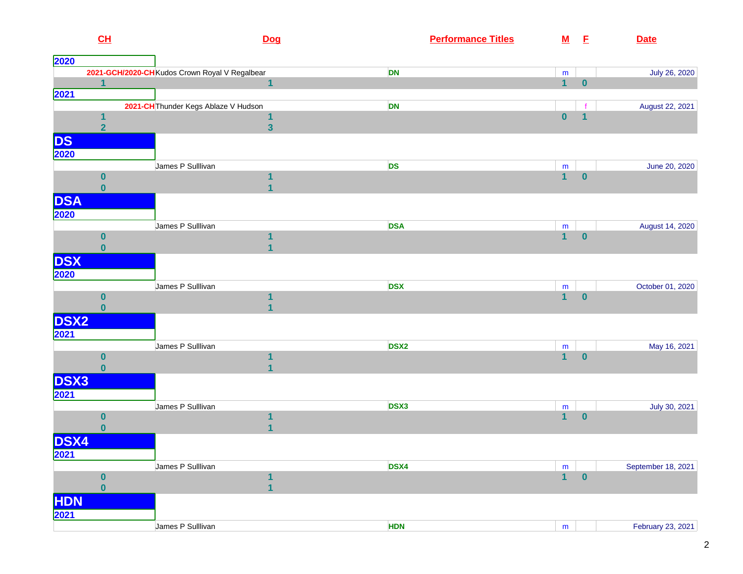| CL                       | <b>Dog</b>                                     |                  | <b>Performance Titles</b><br>${\bf M}$ | E        | <b>Date</b>        |
|--------------------------|------------------------------------------------|------------------|----------------------------------------|----------|--------------------|
| 2020                     |                                                |                  |                                        |          |                    |
|                          | 2021-GCH/2020-CH Kudos Crown Royal V Regalbear | <b>DN</b>        | m                                      |          | July 26, 2020      |
| $\overline{1}$           | $\mathbf{1}$                                   |                  | $\mathbf{1}$                           | $\bf{0}$ |                    |
| 2021                     |                                                |                  |                                        |          |                    |
|                          | 2021-CH Thunder Kegs Ablaze V Hudson           | DN               |                                        |          | August 22, 2021    |
| 1                        | 1                                              |                  | $\bf{0}$                               | 1        |                    |
| $\overline{2}$           | $\overline{\mathbf{3}}$                        |                  |                                        |          |                    |
| DS                       |                                                |                  |                                        |          |                    |
| 2020                     |                                                |                  |                                        |          |                    |
|                          | James P Sulllivan                              | <b>DS</b>        | m                                      |          | June 20, 2020      |
| $\boldsymbol{0}$         | 1                                              |                  | $\overline{1}$                         | $\bf{0}$ |                    |
| $\mathbf{0}$             | 1                                              |                  |                                        |          |                    |
| <b>DSA</b>               |                                                |                  |                                        |          |                    |
| 2020                     |                                                |                  |                                        |          |                    |
|                          | James P Sulllivan                              | <b>DSA</b>       | ${\bf m}$                              |          | August 14, 2020    |
| $\boldsymbol{0}$         | 1                                              |                  | $\mathbf{1}$                           | $\bf{0}$ |                    |
| $\mathbf{0}$             | $\overline{1}$                                 |                  |                                        |          |                    |
| <b>DSX</b>               |                                                |                  |                                        |          |                    |
|                          |                                                |                  |                                        |          |                    |
| 2020                     | James P Sulllivan                              | <b>DSX</b>       |                                        |          |                    |
| $\bf{0}$                 | 1                                              |                  | m<br>$\overline{1}$                    | $\bf{0}$ | October 01, 2020   |
| $\bf{0}$                 | 1                                              |                  |                                        |          |                    |
| <b>DSX2</b>              |                                                |                  |                                        |          |                    |
|                          |                                                |                  |                                        |          |                    |
| 2021                     |                                                |                  |                                        |          |                    |
|                          | James P Sulllivan                              | DSX <sub>2</sub> | m<br>$\mathbf{1}$                      | $\bf{0}$ | May 16, 2021       |
| $\bf{0}$<br>$\mathbf{0}$ |                                                |                  |                                        |          |                    |
|                          | 1                                              |                  |                                        |          |                    |
| <b>DSX3</b>              |                                                |                  |                                        |          |                    |
| 2021                     |                                                |                  |                                        |          |                    |
|                          | James P Sulllivan                              | DSX3             | ${\bf m}$                              |          | July 30, 2021      |
| $\bf{0}$                 | 1                                              |                  | $\mathbf{1}$                           | $\bf{0}$ |                    |
| $\bf{0}$                 | $\mathbf{1}$                                   |                  |                                        |          |                    |
| <b>DSX4</b>              |                                                |                  |                                        |          |                    |
| 2021                     |                                                |                  |                                        |          |                    |
|                          | James P Sulllivan                              | DSX4             | ${\sf m}$                              |          | September 18, 2021 |
| $\pmb{0}$                | 1                                              |                  | $\overline{1}$                         | $\bf{0}$ |                    |
| $\mathbf{0}$             | $\overline{\mathbf{1}}$                        |                  |                                        |          |                    |
| <b>HDN</b>               |                                                |                  |                                        |          |                    |
| 2021                     |                                                |                  |                                        |          |                    |
|                          | James P Sulllivan                              | <b>HDN</b>       | m                                      |          | February 23, 2021  |
|                          |                                                |                  |                                        |          |                    |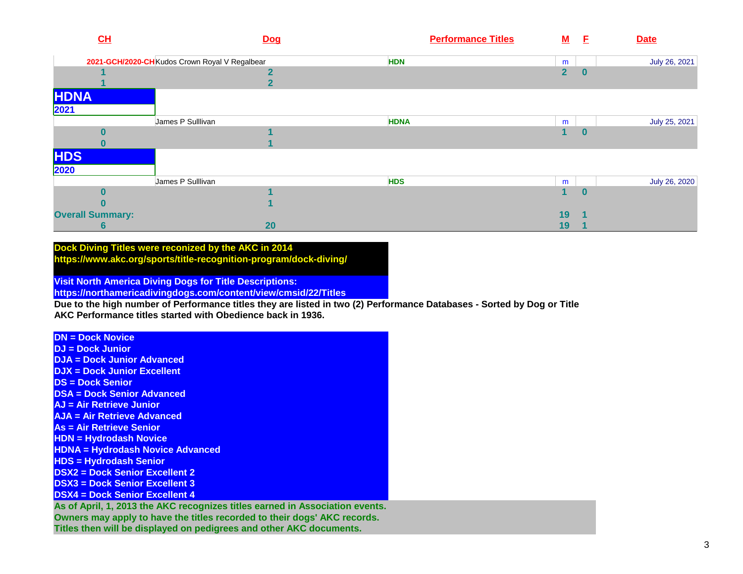| CL                      | <b>Dog</b>                                     | <b>Performance Titles</b> | ${\bf M}$      | - E      | <b>Date</b>   |
|-------------------------|------------------------------------------------|---------------------------|----------------|----------|---------------|
|                         | 2021-GCH/2020-CH Kudos Crown Royal V Regalbear | <b>HDN</b>                | m              |          | July 26, 2021 |
|                         |                                                |                           | $\overline{2}$ | $\bf{0}$ |               |
|                         | ◢                                              |                           |                |          |               |
| <b>HDNA</b><br>2021     |                                                |                           |                |          |               |
|                         | James P Sulllivan                              | <b>HDNA</b>               | m              |          | July 25, 2021 |
|                         |                                                |                           | 1              | $\bf{0}$ |               |
|                         |                                                |                           |                |          |               |
| <b>HDS</b>              |                                                |                           |                |          |               |
| 2020                    | James P Sulllivan                              |                           |                |          |               |
|                         |                                                | <b>HDS</b>                | m<br>1         |          | July 26, 2020 |
|                         |                                                |                           |                | $\bf{0}$ |               |
| <b>Overall Summary:</b> |                                                |                           | 19             |          |               |
| 6                       | 20                                             |                           | 19             |          |               |

## **Dock Diving Titles were reconized by the AKC in 2014 https://www.akc.org/sports/title-recognition-program/dock-diving/**

**Visit North America Diving Dogs for Title Descriptions:** 

**https://northamericadivingdogs.com/content/view/cmsid/22/Titles**

 **Due to the high number of Performance titles they are listed in two (2) Performance Databases - Sorted by Dog or TitleAKC Performance titles started with Obedience back in 1936.**

**DN = Dock Novice**

 **DJ = Dock JuniorDJA = Dock Junior Advanced**

**DJX = Dock Junior Excellent**

**DS = Dock Senior**

**DSA = Dock Senior Advanced**

**AJ = Air Retrieve Junior**

**AJA = Air Retrieve Advanced**

**As = Air Retrieve Senior**

**HDN = Hydrodash Novice**

**HDNA = Hydrodash Novice Advanced**

**HDS = Hydrodash Senior**

**DSX2 = Dock Senior Excellent 2**

**DSX3 = Dock Senior Excellent 3**

**DSX4 = Dock Senior Excellent 4**

 **As of April, 1, 2013 the AKC recognizes titles earned in Association events.Owners may apply to have the titles recorded to their dogs' AKC records. Titles then will be displayed on pedigrees and other AKC documents.**